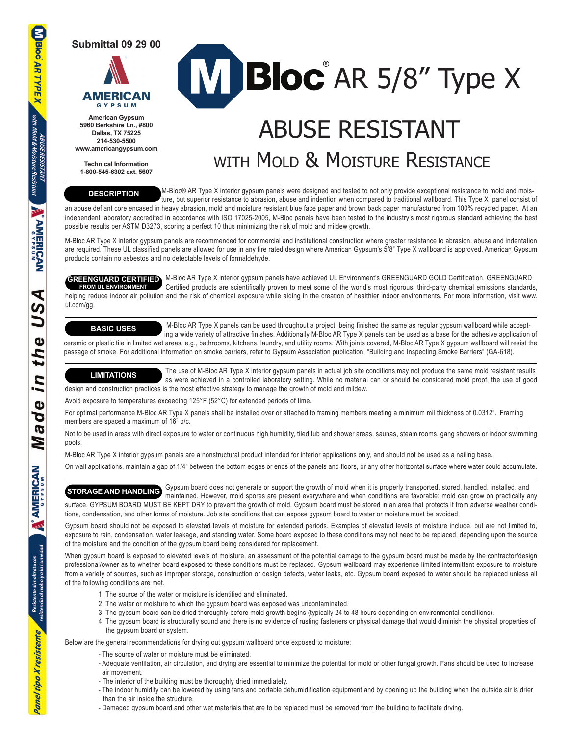**Submittal 09 29 00**



**American Gypsum 5960 Berkshire Ln., #800 Dallas, TX 75225 214-530-5500 www.americangypsum.com**

**Technical Information 1-800-545-6302 ext. 5607**

# Bloc AR 5/8" Type X

# ABUSE RESISTANT WITH MOLD & MOISTURE RESISTANCE

**DESCRIPTION**

 M-Bloc® AR Type X interior gypsum panels were designed and tested to not only provide exceptional resistance to mold and mois ture, but superior resistance to abrasion, abuse and indention when compared to traditional wallboard. This Type X panel consist of an abuse defiant core encased in heavy abrasion, mold and moisture resistant blue face paper and brown back paper manufactured from 100% recycled paper. At an

independent laboratory accredited in accordance with ISO 17025-2005, M-Bloc panels have been tested to the industry's most rigorous standard achieving the best possible results per ASTM D3273, scoring a perfect 10 thus minimizing the risk of mold and mildew growth.

M-Bloc AR Type X interior gypsum panels are recommended for commercial and institutional construction where greater resistance to abrasion, abuse and indentation are required. These UL classified panels are allowed for use in any fire rated design where American Gypsum's 5/8" Type X wallboard is approved. American Gypsum products contain no asbestos and no detectable levels of formaldehyde.

GREENGUARD CERTIFIED M-Bloc AR Type X interior gypsum panels have achieved UL Environment's GREENGUARD GOLD Certification. GREENGUARD **GREENGUARD CERTIFIED** M-Bloc AR Type X interior gypsum panels have achieved UL Environment's GREENGUARD GOLD Certification. GREENGUARD<br>**FROM UL ENVIRONMENT** Certified products are scientifically proven to meet some of the helping reduce indoor air pollution and the risk of chemical exposure while aiding in the creation of healthier indoor environments. For more information, visit www. ul.com/gg.

# **BASIC USES**

 M-Bloc AR Type X panels can be used throughout a project, being finished the same as regular gypsum wallboard while accept ing a wide variety of attractive finishes. Additionally M-Bloc AR Type X panels can be used as a base for the adhesive application of ceramic or plastic tile in limited wet areas, e.g., bathrooms, kitchens, laundry, and utility rooms. With joints covered, M-Bloc AR Type X gypsum wallboard will resist the passage of smoke. For additional information on smoke barriers, refer to Gypsum Association publication, "Building and Inspecting Smoke Barriers" (GA-618).

 The use of M-Bloc AR Type X interior gypsum panels in actual job site conditions may not produce the same mold resistant results as were achieved in a controlled laboratory setting. While no material can or should be considered mold proof, the use of good design and construction practices is the most effective strategy to manage the growth of mold and mildew. **LIMITATIONS**

Avoid exposure to temperatures exceeding 125°F (52°C) for extended periods of time.

For optimal performance M-Bloc AR Type X panels shall be installed over or attached to framing members meeting a minimum mil thickness of 0.0312". Framing members are spaced a maximum of 16" o/c.

Not to be used in areas with direct exposure to water or continuous high humidity, tiled tub and shower areas, saunas, steam rooms, gang showers or indoor swimming pools.

M-Bloc AR Type X interior gypsum panels are a nonstructural product intended for interior applications only, and should not be used as a nailing base.

On wall applications, maintain a gap of 1/4" between the bottom edges or ends of the panels and floors, or any other horizontal surface where water could accumulate.

**STORAGE AND HANDLING** Gypsum board does not generate or support the growth of mold when it is properly transported, stored, handled, installed, and **STORAGE AND HANDLING** maintained, However, mold cannot mold can grow on maintained. However, mold spores are present everywhere and when conditions are favorable; mold can grow on practically any surface. GYPSUM BOARD MUST BE KEPT DRY to prevent the growth of mold. Gypsum board must be stored in an area that protects it from adverse weather conditions, condensation, and other forms of moisture. Job site conditions that can expose gypsum board to water or moisture must be avoided.

Gypsum board should not be exposed to elevated levels of moisture for extended periods. Examples of elevated levels of moisture include, but are not limited to, exposure to rain, condensation, water leakage, and standing water. Some board exposed to these conditions may not need to be replaced, depending upon the source of the moisture and the condition of the gypsum board being considered for replacement.

When gypsum board is exposed to elevated levels of moisture, an assessment of the potential damage to the gypsum board must be made by the contractor/design professional/owner as to whether board exposed to these conditions must be replaced. Gypsum wallboard may experience limited intermittent exposure to moisture from a variety of sources, such as improper storage, construction or design defects, water leaks, etc. Gypsum board exposed to water should be replaced unless all of the following conditions are met.

- 1. The source of the water or moisture is identified and eliminated.
- 2. The water or moisture to which the gypsum board was exposed was uncontaminated.
- 3. The gypsum board can be dried thoroughly before mold growth begins (typically 24 to 48 hours depending on environmental conditions).
- 4. The gypsum board is structurally sound and there is no evidence of rusting fasteners or physical damage that would diminish the physical properties of the gypsum board or system.

Below are the general recommendations for drying out gypsum wallboard once exposed to moisture:

- The source of water or moisture must be eliminated.
- Adequate ventilation, air circulation, and drying are essential to minimize the potential for mold or other fungal growth. Fans should be used to increase air movement.
- The interior of the building must be thoroughly dried immediately.
- The indoor humidity can be lowered by using fans and portable dehumidification equipment and by opening up the building when the outside air is drier than the air inside the structure.
- Damaged gypsum board and other wet materials that are to be replaced must be removed from the building to facilitate drying.

resistente al maltrato con<br>resistencia al moho y a la humedad

Panel tipo X resistente

**Bloc AR TYPE X**